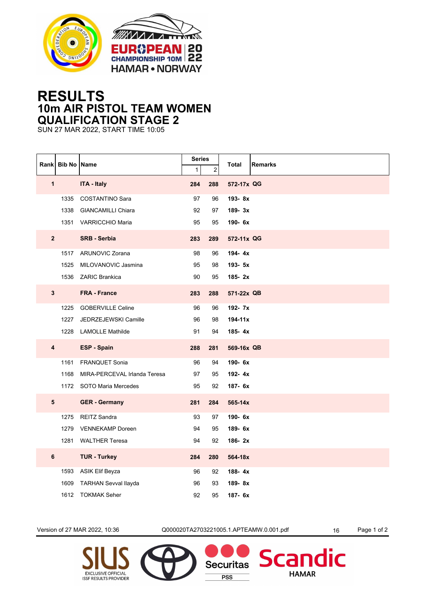



## **RESULTS 10m AIR PISTOL TEAM WOMEN QUALIFICATION STAGE 2**

SUN 27 MAR 2022, START TIME 10:05

|                         | Rank Bib No Name |                              | <b>Series</b>       |                       | <b>Remarks</b><br>Total |
|-------------------------|------------------|------------------------------|---------------------|-----------------------|-------------------------|
| $\mathbf{1}$            |                  | <b>ITA - Italy</b>           | $\mathbf{1}$<br>284 | $\overline{c}$<br>288 | 572-17x QG              |
|                         |                  |                              |                     |                       |                         |
|                         | 1335             | COSTANTINO Sara              | 97                  | 96                    | 193-8x                  |
|                         | 1338             | <b>GIANCAMILLI Chiara</b>    | 92                  | 97                    | 189-3x                  |
|                         |                  | 1351 VARRICCHIO Maria        | 95                  | 95                    | 190-6x                  |
| $\overline{\mathbf{2}}$ |                  | <b>SRB - Serbia</b>          | 283                 | 289                   | 572-11x QG              |
|                         |                  | 1517 ARUNOVIC Zorana         | 98                  | 96                    | 194-4x                  |
|                         | 1525             | MILOVANOVIC Jasmina          | 95                  | 98                    | 193-5x                  |
|                         |                  | 1536 ZARIC Brankica          | 90                  | 95                    | 185-2x                  |
| $\mathbf{3}$            |                  | <b>FRA - France</b>          | 283                 | 288                   | 571-22x QB              |
|                         | 1225             | <b>GOBERVILLE Celine</b>     | 96                  | 96                    | 192- 7x                 |
|                         | 1227             | JEDRZEJEWSKI Camille         | 96                  | 98                    | $194 - 11x$             |
|                         | 1228             | <b>LAMOLLE Mathilde</b>      | 91                  | 94                    | 185- $4x$               |
| $\overline{\mathbf{4}}$ |                  | <b>ESP - Spain</b>           | 288                 | 281                   | 569-16x QB              |
|                         | 1161             | <b>FRANQUET Sonia</b>        | 96                  | 94                    | 190-6x                  |
|                         | 1168             | MIRA-PERCEVAL Irlanda Teresa | 97                  | 95                    | 192-4x                  |
|                         |                  | 1172 SOTO Maria Mercedes     | 95                  | 92                    | 187- 6x                 |
| 5                       |                  | <b>GER</b> - Germany         | 281                 | 284                   | 565-14x                 |
|                         | 1275             | <b>REITZ Sandra</b>          | 93                  | 97                    | 190-6x                  |
|                         | 1279             | <b>VENNEKAMP Doreen</b>      | 94                  | 95                    | 189-6x                  |
|                         | 1281             | <b>WALTHER Teresa</b>        | 94                  | 92                    | 186-2x                  |
| $\bf 6$                 |                  | <b>TUR - Turkey</b>          | 284                 | 280                   | 564-18x                 |
|                         | 1593             | ASIK Elif Beyza              | 96                  | 92                    | 188-4x                  |
|                         | 1609             | <b>TARHAN Sevval llayda</b>  | 96                  | 93                    | 189-8x                  |
|                         |                  | 1612 TOKMAK Seher            | 92                  | 95                    | 187- 6x                 |

Version of 27 MAR 2022, 10:36 <br>
Q000020TA2703221005.1.APTEAMW.0.001.pdf 16 Page 1 of 2

**Securitas** 

**PSS** 

dic

**Scan** 

**HAMAR**